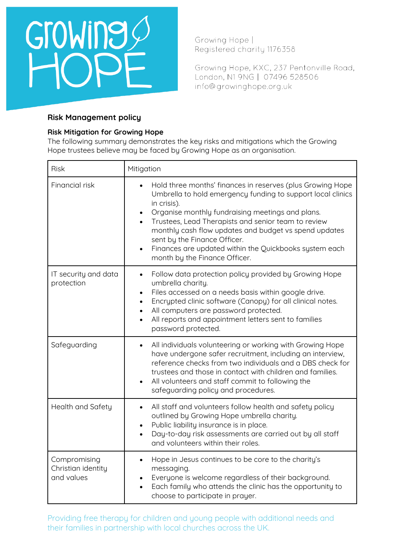

Growing Hope, KXC, 237 Pentonville Road, London, N1 9NG | 07496 528506 info@growinghope.org.uk

# **Risk Management policy**

# **Risk Mitigation for Growing Hope**

The following summary demonstrates the key risks and mitigations which the Growing Hope trustees believe may be faced by Growing Hope as an organisation.

| <b>Risk</b>                                      | Mitigation                                                                                                                                                                                                                                                                                                                                                                                                                              |  |  |  |  |
|--------------------------------------------------|-----------------------------------------------------------------------------------------------------------------------------------------------------------------------------------------------------------------------------------------------------------------------------------------------------------------------------------------------------------------------------------------------------------------------------------------|--|--|--|--|
| Financial risk                                   | Hold three months' finances in reserves (plus Growing Hope<br>Umbrella to hold emergency funding to support local clinics<br>in crisis).<br>Organise monthly fundraising meetings and plans.<br>Trustees, Lead Therapists and senior team to review<br>monthly cash flow updates and budget vs spend updates<br>sent by the Finance Officer.<br>Finances are updated within the Quickbooks system each<br>month by the Finance Officer. |  |  |  |  |
| IT security and data<br>protection               | Follow data protection policy provided by Growing Hope<br>$\bullet$<br>umbrella charity.<br>Files accessed on a needs basis within google drive.<br>$\bullet$<br>Encrypted clinic software (Canopy) for all clinical notes.<br>All computers are password protected.<br>All reports and appointment letters sent to families<br>$\bullet$<br>password protected.                                                                        |  |  |  |  |
| Safeguarding                                     | All individuals volunteering or working with Growing Hope<br>$\bullet$<br>have undergone safer recruitment, including an interview,<br>reference checks from two individuals and a DBS check for<br>trustees and those in contact with children and families.<br>All volunteers and staff commit to following the<br>safeguarding policy and procedures.                                                                                |  |  |  |  |
| Health and Safety                                | All staff and volunteers follow health and safety policy<br>outlined by Growing Hope umbrella charity.<br>Public liability insurance is in place.<br>Day-to-day risk assessments are carried out by all staff<br>and volunteers within their roles.                                                                                                                                                                                     |  |  |  |  |
| Compromising<br>Christian identity<br>and values | Hope in Jesus continues to be core to the charity's<br>messaging.<br>Everyone is welcome regardless of their background.<br>Each family who attends the clinic has the opportunity to<br>choose to participate in prayer.                                                                                                                                                                                                               |  |  |  |  |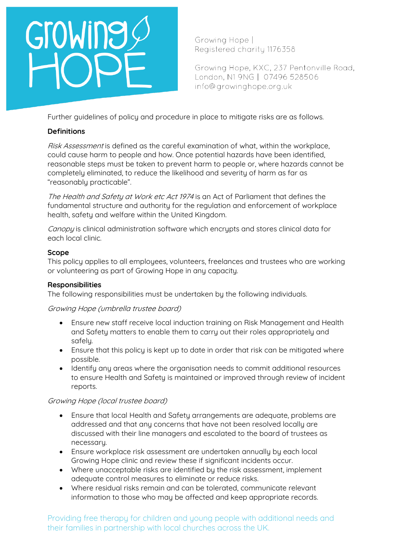# GroWine

Growing Hope | Registered charity 1176358

Growing Hope, KXC, 237 Pentonville Road, London, N1 9NG | 07496 528506 info@growinghope.org.uk

Further guidelines of policy and procedure in place to mitigate risks are as follows.

# **Definitions**

Risk Assessment is defined as the careful examination of what, within the workplace, could cause harm to people and how. Once potential hazards have been identified, reasonable steps must be taken to prevent harm to people or, where hazards cannot be completely eliminated, to reduce the likelihood and severity of harm as far as "reasonably practicable".

The Health and Safety at Work etc Act 1974 is an Act of Parliament that defines the fundamental structure and authority for the regulation and enforcement of workplace health, safety and welfare within the United Kingdom.

Canopy is clinical administration software which encrypts and stores clinical data for each local clinic.

# **Scope**

This policy applies to all employees, volunteers, freelances and trustees who are working or volunteering as part of Growing Hope in any capacity.

# **Responsibilities**

The following responsibilities must be undertaken by the following individuals.

Growing Hope (umbrella trustee board)

- Ensure new staff receive local induction training on Risk Management and Health and Safety matters to enable them to carry out their roles appropriately and safelu.
- Ensure that this policy is kept up to date in order that risk can be mitigated where possible.
- Identify any areas where the organisation needs to commit additional resources to ensure Health and Safety is maintained or improved through review of incident reports.

# Growing Hope (local trustee board)

- Ensure that local Health and Safety arrangements are adequate, problems are addressed and that any concerns that have not been resolved locally are discussed with their line managers and escalated to the board of trustees as necessary.
- Ensure workplace risk assessment are undertaken annuallu by each local Growing Hope clinic and review these if significant incidents occur.
- Where unacceptable risks are identified by the risk assessment, implement adequate control measures to eliminate or reduce risks.
- Where residual risks remain and can be tolerated, communicate relevant information to those who may be affected and keep appropriate records.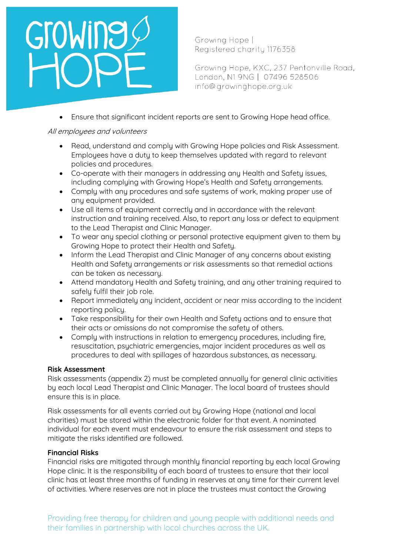# GroWine

Growing Hope | Registered charity 1176358

Growing Hope, KXC, 237 Pentonville Road, London, N1 9NG | 07496 528506 info@growinghope.org.uk

• Ensure that significant incident reports are sent to Growing Hope head office.

# All employees and volunteers

- Read, understand and comply with Growing Hope policies and Risk Assessment. Employees have a duty to keep themselves updated with regard to relevant policies and procedures.
- Co-operate with their managers in addressing any Health and Safety issues, including complying with Growing Hope's Health and Safety arrangements.
- Comply with any procedures and safe systems of work, making proper use of any equipment provided.
- Use all items of equipment correctly and in accordance with the relevant instruction and training received. Also, to report any loss or defect to equipment to the Lead Therapist and Clinic Manager.
- To wear any special clothing or personal protective equipment given to them by Growing Hope to protect their Health and Safety.
- Inform the Lead Therapist and Clinic Manager of any concerns about existing Health and Safety arrangements or risk assessments so that remedial actions can be taken as necessary.
- Attend mandatory Health and Safety training, and any other training required to safely fulfil their job role.
- Report immediately any incident, accident or near miss according to the incident reporting policy.
- Take responsibility for their own Health and Safety actions and to ensure that their acts or omissions do not compromise the safety of others.
- Complu with instructions in relation to emergency procedures, including fire, resuscitation, psychiatric emergencies, major incident procedures as well as procedures to deal with spillages of hazardous substances, as necessary.

# **Risk Assessment**

Risk assessments (appendix 2) must be completed annually for general clinic activities by each local Lead Therapist and Clinic Manager. The local board of trustees should ensure this is in place.

Risk assessments for all events carried out by Growing Hope (national and local charities) must be stored within the electronic folder for that event. A nominated individual for each event must endeavour to ensure the risk assessment and steps to mitigate the risks identified are followed.

# **Financial Risks**

Financial risks are mitigated through monthly financial reporting by each local Growing Hope clinic. It is the responsibility of each board of trustees to ensure that their local clinic has at least three months of funding in reserves at any time for their current level of activities. Where reserves are not in place the trustees must contact the Growing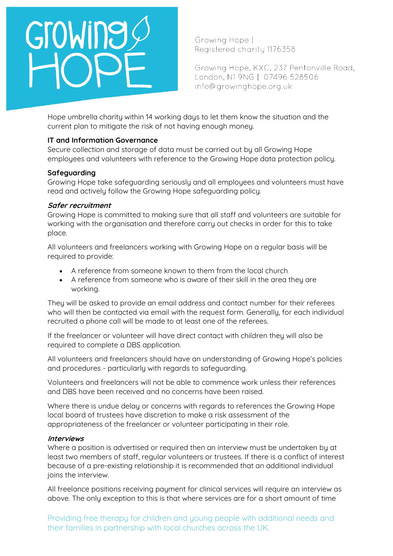

Growing Hope, KXC, 237 Pentonville Road, London, N1 9NG | 07496 528506 info@growinghope.org.uk

Hope umbrella charity within 14 working days to let them know the situation and the current plan to mitigate the risk of not having enough money.

# **IT and Information Governance**

Secure collection and storage of data must be carried out by all Growing Hope employees and volunteers with reference to the Growing Hope data protection policy.

### **Safeguarding**

Growing Hope take safeguarding seriously and all employees and volunteers must have read and actively follow the Growing Hope safeguarding policy.

### **Safer recruitment**

Growing Hope is committed to making sure that all staff and volunteers are suitable for working with the organisation and therefore carry out checks in order for this to take place.

All volunteers and freelancers working with Growing Hope on a regular basis will be required to provide:

- A reference from someone known to them from the local church
- A reference from someone who is aware of their skill in the area they are working.

They will be asked to provide an email address and contact number for their referees who will then be contacted via email with the request form. Generally, for each individual recruited a phone call will be made to at least one of the referees.

If the freelancer or volunteer will have direct contact with children they will also be required to complete a DBS application.

All volunteers and freelancers should have an understanding of Growing Hope's policies and procedures - particularly with regards to safeguarding.

Volunteers and freelancers will not be able to commence work unless their references and DBS have been received and no concerns have been raised.

Where there is undue delay or concerns with regards to references the Growing Hope local board of trustees have discretion to make a risk assessment of the appropriateness of the freelancer or volunteer participating in their role.

### **Interviews**

Where a position is advertised or required then an interview must be undertaken by at least two members of staff, regular volunteers or trustees. If there is a conflict of interest because of a pre-existing relationship it is recommended that an additional individual joins the interview.

All freelance positions receiving payment for clinical services will require an interview as above. The only exception to this is that where services are for a short amount of time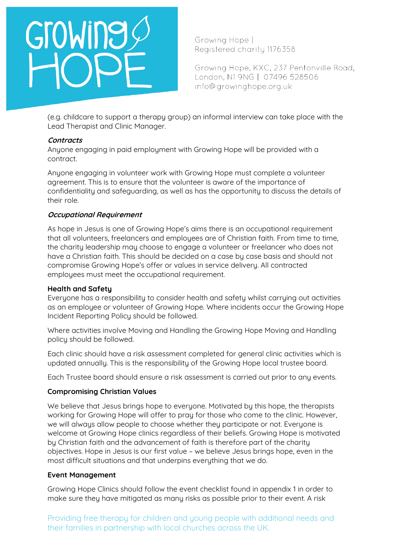

Growing Hope, KXC, 237 Pentonville Road, London, N1 9NG | 07496 528506 info@growinghope.org.uk

(e.g. childcare to support a therapy group) an informal interview can take place with the Lead Therapist and Clinic Manager.

### **Contracts**

Anyone engaging in paid employment with Growing Hope will be provided with a contract.

Anyone engaging in volunteer work with Growing Hope must complete a volunteer agreement. This is to ensure that the volunteer is aware of the importance of confidentiality and safeguarding, as well as has the opportunity to discuss the details of their role.

# **Occupational Requirement**

As hope in Jesus is one of Growing Hope's aims there is an occupational requirement that all volunteers, freelancers and employees are of Christian faith. From time to time, the charity leadership may choose to engage a volunteer or freelancer who does not have a Christian faith. This should be decided on a case by case basis and should not compromise Growing Hope's offer or values in service delivery. All contracted employees must meet the occupational requirement.

# **Health and Safety**

Everyone has a responsibility to consider health and safety whilst carrying out activities as an employee or volunteer of Growing Hope. Where incidents occur the Growing Hope Incident Reporting Policy should be followed.

Where activities involve Moving and Handling the Growing Hope Moving and Handling policy should be followed.

Each clinic should have a risk assessment completed for general clinic activities which is updated annually. This is the responsibility of the Growing Hope local trustee board.

Each Trustee board should ensure a risk assessment is carried out prior to any events.

# **Compromising Christian Values**

We believe that Jesus brings hope to everyone. Motivated by this hope, the therapists working for Growing Hope will offer to pray for those who come to the clinic. However, we will always allow people to choose whether they participate or not. Everyone is welcome at Growing Hope clinics regardless of their beliefs. Growing Hope is motivated by Christian faith and the advancement of faith is therefore part of the charity objectives. Hope in Jesus is our first value – we believe Jesus brings hope, even in the most difficult situations and that underpins everything that we do.

### **Event Management**

Growing Hope Clinics should follow the event checklist found in appendix 1 in order to make sure they have mitigated as many risks as possible prior to their event. A risk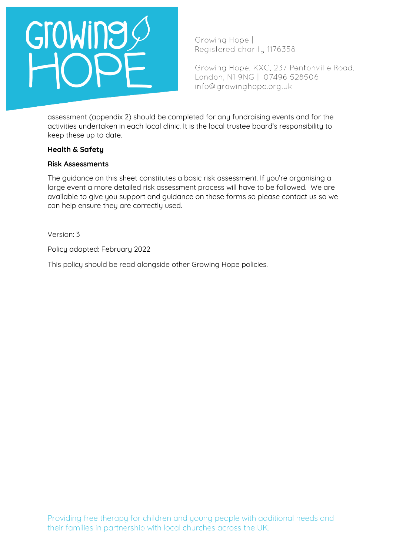

Growing Hope, KXC, 237 Pentonville Road, London, N1 9NG | 07496 528506 info@growinghope.org.uk

assessment (appendix 2) should be completed for any fundraising events and for the activities undertaken in each local clinic. It is the local trustee board's responsibility to keep these up to date.

### **Health & Safety**

### **Risk Assessments**

The guidance on this sheet constitutes a basic risk assessment. If you're organising a large event a more detailed risk assessment process will have to be followed. We are available to give you support and guidance on these forms so please contact us so we can help ensure they are correctly used.

Version: 3

Policy adopted: February 2022

This policy should be read alongside other Growing Hope policies.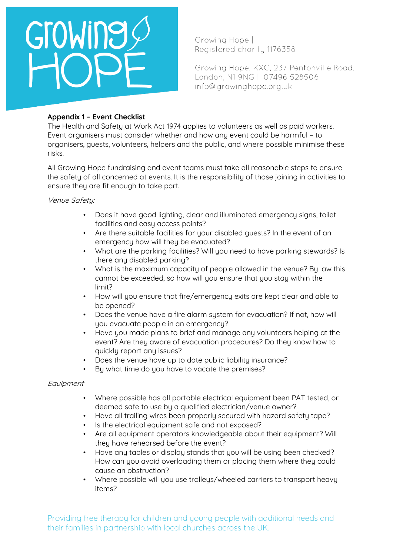

Growing Hope, KXC, 237 Pentonville Road, London, N1 9NG | 07496 528506 info@growinghope.org.uk

# **Appendix 1 – Event Checklist**

The Health and Safety at Work Act 1974 applies to volunteers as well as paid workers. Event organisers must consider whether and how any event could be harmful – to organisers, guests, volunteers, helpers and the public, and where possible minimise these risks.

All Growing Hope fundraising and event teams must take all reasonable steps to ensure the safety of all concerned at events. It is the responsibility of those joining in activities to ensure they are fit enough to take part.

Venue Safety:

- Does it have good lighting, clear and illuminated emergency signs, toilet facilities and easy access points?
- Are there suitable facilities for your disabled guests? In the event of an emergency how will they be evacuated?
- What are the parking facilities? Will you need to have parking stewards? Is there any disabled parking?
- What is the maximum capacity of people allowed in the venue? By law this cannot be exceeded, so how will you ensure that you stay within the limit?
- How will you ensure that fire/emergency exits are kept clear and able to be opened?
- Does the venue have a fire alarm system for evacuation? If not, how will you evacuate people in an emergency?
- Have you made plans to brief and manage any volunteers helping at the event? Are they aware of evacuation procedures? Do they know how to quickly report any issues?
- Does the venue have up to date public liability insurance?
- By what time do you have to vacate the premises?

# Equipment

- Where possible has all portable electrical equipment been PAT tested, or deemed safe to use by a qualified electrician/venue owner?
- Have all trailing wires been properly secured with hazard safety tape?
- Is the electrical equipment safe and not exposed?
- Are all equipment operators knowledgeable about their equipment? Will they have rehearsed before the event?
- Have any tables or display stands that you will be using been checked? How can you avoid overloading them or placing them where they could cause an obstruction?
- Where possible will you use trolleys/wheeled carriers to transport heavy items?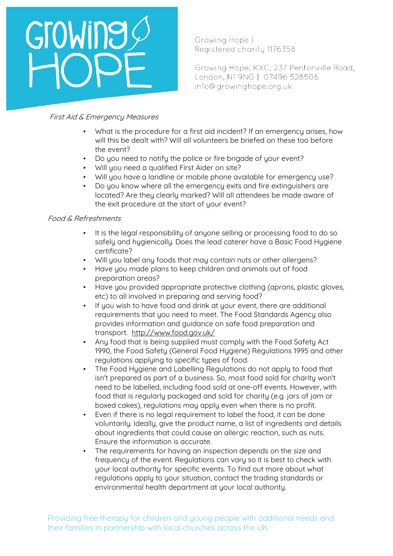# Growing

Growing Hope | Registered charity 1176358

Growing Hope, KXC, 237 Pentonville Road, London, N1 9NG | 07496 528506 info@growinghope.org.uk

# First Aid & Emergency Measures

- What is the procedure for a first aid incident? If an emergency arises, how will this be dealt with? Will all volunteers be briefed on these too before the event?
- Do you need to notify the police or fire brigade of your event?
- Will you need a qualified First Aider on site?
- Will you have a landline or mobile phone available for emergency use?
- Do you know where all the emergency exits and fire extinguishers are located? Are they clearly marked? Will all attendees be made aware of the exit procedure at the start of your event?

# Food & Refreshments

- It is the legal responsibility of anyone selling or processing food to do so safely and hygienically. Does the lead caterer have a Basic Food Hygiene certificate?
- Will you label any foods that may contain nuts or other allergens?
- Have you made plans to keep children and animals out of food preparation areas?
- Have you provided appropriate protective clothing (aprons, plastic gloves, etc) to all involved in preparing and serving food?
- If you wish to have food and drink at your event, there are additional requirements that you need to meet. The Food Standards Agency also provides information and guidance on safe food preparation and transport. <http://www.food.gov.uk/>
- Any food that is being supplied must comply with the Food Safety Act 1990, the Food Safety (General Food Hygiene) Regulations 1995 and other regulations applying to specific types of food.
- The Food Hygiene and Labelling Regulations do not apply to food that isn't prepared as part of a business. So, most food sold for charity won't need to be labelled, including food sold at one-off events. However, with food that is regularly packaged and sold for charity (e.g. jars of jam or boxed cakes), regulations may apply even when there is no profit.
- Even if there is no legal requirement to label the food, it can be done voluntarily. Ideally, give the product name, a list of ingredients and details about ingredients that could cause an allergic reaction, such as nuts. Ensure the information is accurate.
- The requirements for having an inspection depends on the size and frequency of the event. Regulations can vary so it is best to check with uour local authoritu for specific events. To find out more about what regulations apply to your situation, contact the trading standards or environmental health department at your local authority.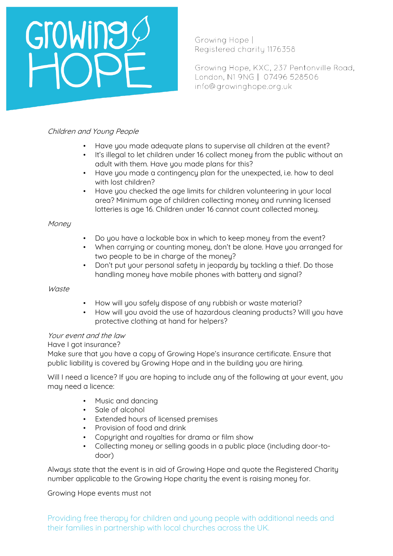# Growing

Growing Hope | Registered charity 1176358

Growing Hope, KXC, 237 Pentonville Road, London, N1 9NG | 07496 528506 info@growinghope.org.uk

# Children and Young People

- Have you made adequate plans to supervise all children at the event?
- It's illegal to let children under 16 collect money from the public without an adult with them. Have you made plans for this?
- Have you made a contingency plan for the unexpected, i.e. how to deal with lost children?
- Have you checked the age limits for children volunteering in your local area? Minimum age of children collecting money and running licensed lotteries is age 16. Children under 16 cannot count collected money.

# **Money**

- Do you have a lockable box in which to keep money from the event?
- When carrying or counting money, don't be alone. Have you arranged for two people to be in charge of the money?
- Don't put your personal safety in jeopardy by tackling a thief. Do those handling money have mobile phones with battery and signal?

# Waste

- How will you safely dispose of any rubbish or waste material?
- How will you avoid the use of hazardous cleaning products? Will you have protective clothing at hand for helpers?

# Your event and the law

# Have I got insurance?

Make sure that you have a copy of Growing Hope's insurance certificate. Ensure that public liability is covered by Growing Hope and in the building you are hiring.

Will I need a licence? If you are hoping to include any of the following at your event, you may need a licence:

- Music and dancing
- Sale of alcohol
- Extended hours of licensed premises
- Provision of food and drink
- Copyright and royalties for drama or film show
- Collecting money or selling goods in a public place (including door-todoor)

Always state that the event is in aid of Growing Hope and quote the Registered Charity number applicable to the Growing Hope charity the event is raising money for.

# Growing Hope events must not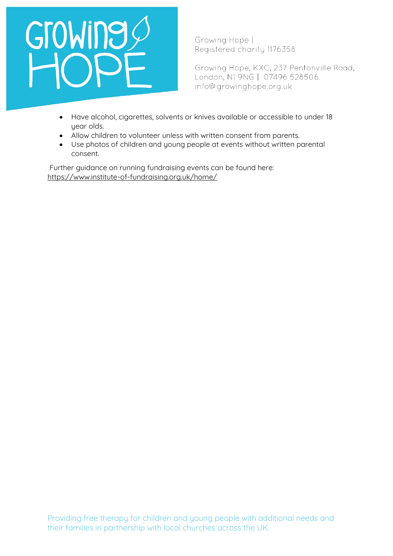# GroWing

Growing Hope | Registered charity 1176358

Growing Hope, KXC, 237 Pentonville Road, London, N1 9NG | 07496 528506 info@growinghope.org.uk

- Have alcohol, cigarettes, solvents or knives available or accessible to under 18 year olds.
- Allow children to volunteer unless with written consent from parents.
- Use photos of children and young people at events without written parental consent.

Further guidance on running fundraising events can be found here: <https://www.institute-of-fundraising.org.uk/home/>